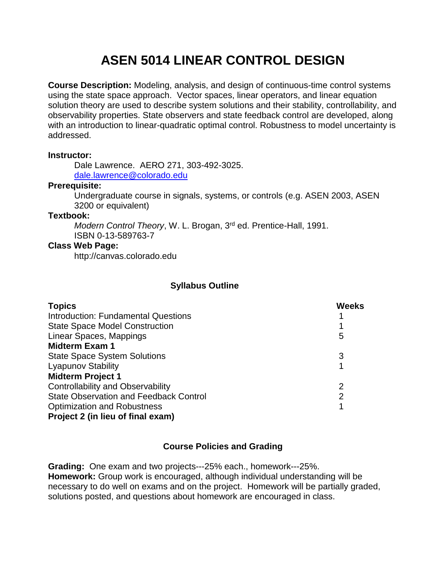# **ASEN 5014 LINEAR CONTROL DESIGN**

**Course Description:** Modeling, analysis, and design of continuous-time control systems using the state space approach. Vector spaces, linear operators, and linear equation solution theory are used to describe system solutions and their stability, controllability, and observability properties. State observers and state feedback control are developed, along with an introduction to linear-quadratic optimal control. Robustness to model uncertainty is addressed.

## **Instructor:**

 Dale Lawrence. AERO 271, 303-492-3025. [dale.lawrence@colorado.edu](mailto:dale.lawrence@colorado.edu)

## **Prerequisite:**

Undergraduate course in signals, systems, or controls (e.g. ASEN 2003, ASEN 3200 or equivalent)

## **Textbook:**

Modern Control Theory, W. L. Brogan, 3<sup>rd</sup> ed. Prentice-Hall, 1991. ISBN 0-13-589763-7

## **Class Web Page:**

http://canvas.colorado.edu

# **Syllabus Outline**

| <b>Topics</b>                                 | <b>Weeks</b> |
|-----------------------------------------------|--------------|
| Introduction: Fundamental Questions           |              |
| <b>State Space Model Construction</b>         |              |
| Linear Spaces, Mappings                       | 5            |
| <b>Midterm Exam 1</b>                         |              |
| <b>State Space System Solutions</b>           | 3            |
| <b>Lyapunov Stability</b>                     |              |
| <b>Midterm Project 1</b>                      |              |
| <b>Controllability and Observability</b>      | 2            |
| <b>State Observation and Feedback Control</b> | 2            |
| <b>Optimization and Robustness</b>            |              |
| Project 2 (in lieu of final exam)             |              |

# **Course Policies and Grading**

**Grading:** One exam and two projects---25% each., homework---25%. **Homework:** Group work is encouraged, although individual understanding will be necessary to do well on exams and on the project. Homework will be partially graded, solutions posted, and questions about homework are encouraged in class.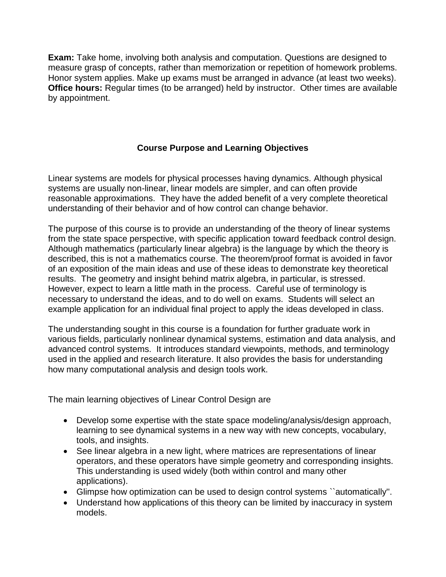**Exam:** Take home, involving both analysis and computation. Questions are designed to measure grasp of concepts, rather than memorization or repetition of homework problems. Honor system applies. Make up exams must be arranged in advance (at least two weeks). **Office hours:** Regular times (to be arranged) held by instructor. Other times are available by appointment.

# **Course Purpose and Learning Objectives**

Linear systems are models for physical processes having dynamics. Although physical systems are usually non-linear, linear models are simpler, and can often provide reasonable approximations. They have the added benefit of a very complete theoretical understanding of their behavior and of how control can change behavior.

The purpose of this course is to provide an understanding of the theory of linear systems from the state space perspective, with specific application toward feedback control design. Although mathematics (particularly linear algebra) is the language by which the theory is described, this is not a mathematics course. The theorem/proof format is avoided in favor of an exposition of the main ideas and use of these ideas to demonstrate key theoretical results. The geometry and insight behind matrix algebra, in particular, is stressed. However, expect to learn a little math in the process. Careful use of terminology is necessary to understand the ideas, and to do well on exams. Students will select an example application for an individual final project to apply the ideas developed in class.

The understanding sought in this course is a foundation for further graduate work in various fields, particularly nonlinear dynamical systems, estimation and data analysis, and advanced control systems. It introduces standard viewpoints, methods, and terminology used in the applied and research literature. It also provides the basis for understanding how many computational analysis and design tools work.

The main learning objectives of Linear Control Design are

- Develop some expertise with the state space modeling/analysis/design approach, learning to see dynamical systems in a new way with new concepts, vocabulary, tools, and insights.
- See linear algebra in a new light, where matrices are representations of linear operators, and these operators have simple geometry and corresponding insights. This understanding is used widely (both within control and many other applications).
- Glimpse how optimization can be used to design control systems ``automatically''.
- Understand how applications of this theory can be limited by inaccuracy in system models.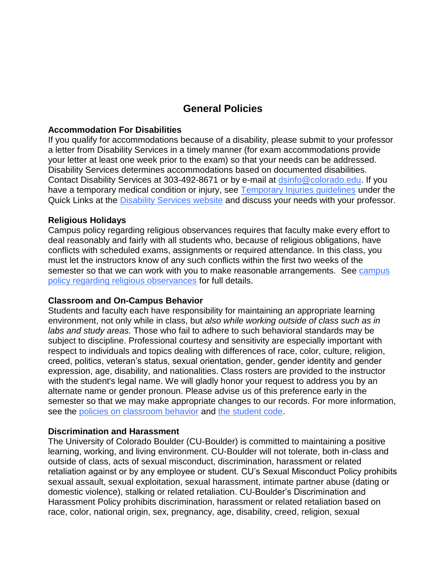# **General Policies**

#### **Accommodation For Disabilities**

If you qualify for accommodations because of a disability, please submit to your professor a letter from Disability Services in a timely manner (for exam accommodations provide your letter at least one week prior to the exam) so that your needs can be addressed. Disability Services determines accommodations based on documented disabilities. Contact Disability Services at 303-492-8671 or by e-mail at [dsinfo@colorado.edu.](mailto:dsinfo@colorado.edu) If you have a temporary medical condition or injury, see [Temporary Injuries guidelines](http://www.alumniconnections.com/links/link.cgi?l=6835148&h=6451&e=UCBI-20151203180101) under the Quick Links at the **Disability Services website** and discuss your needs with your professor.

## **Religious Holidays**

Campus policy regarding religious observances requires that faculty make every effort to deal reasonably and fairly with all students who, because of religious obligations, have conflicts with scheduled exams, assignments or required attendance. In this class, you must let the instructors know of any such conflicts within the first two weeks of the semester so that we can work with you to make reasonable arrangements. See campus [policy regarding religious observances](http://www.alumniconnections.com/links/link.cgi?l=6835152&h=6451&e=UCBI-20151203180101) for full details.

#### **Classroom and On-Campus Behavior**

Students and faculty each have responsibility for maintaining an appropriate learning environment, not only while in class, but *also while working outside of class such as in labs and study areas.* Those who fail to adhere to such behavioral standards may be subject to discipline. Professional courtesy and sensitivity are especially important with respect to individuals and topics dealing with differences of race, color, culture, religion, creed, politics, veteran's status, sexual orientation, gender, gender identity and gender expression, age, disability, and nationalities. Class rosters are provided to the instructor with the student's legal name. We will gladly honor your request to address you by an alternate name or gender pronoun. Please advise us of this preference early in the semester so that we may make appropriate changes to our records. For more information, see the [policies on classroom behavior](http://www.alumniconnections.com/links/link.cgi?l=6835155&h=6451&e=UCBI-20151203180101) and [the student code.](http://www.alumniconnections.com/links/link.cgi?l=6835156&h=6451&e=UCBI-20151203180101)

#### **Discrimination and Harassment**

The University of Colorado Boulder (CU-Boulder) is committed to maintaining a positive learning, working, and living environment. CU-Boulder will not tolerate, both in-class and outside of class, acts of sexual misconduct, discrimination, harassment or related retaliation against or by any employee or student. CU's Sexual Misconduct Policy prohibits sexual assault, sexual exploitation, sexual harassment, intimate partner abuse (dating or domestic violence), stalking or related retaliation. CU-Boulder's Discrimination and Harassment Policy prohibits discrimination, harassment or related retaliation based on race, color, national origin, sex, pregnancy, age, disability, creed, religion, sexual